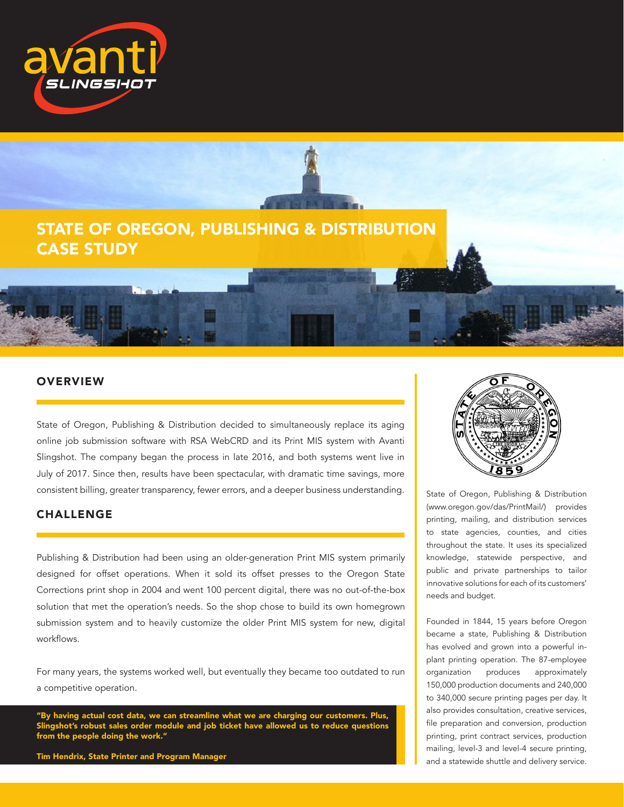



## **OVERVIEW**

State of Oregon, Publishing & Distribution decided to simultaneously replace its aging online job submission software with RSA WebCRD and its Print MIS system with Avanti Slingshot. The company began the process in late 2016, and both systems went live in July of 2017. Since then, results have been spectacular, with dramatic time savings, more consistent billing, greater transparency, fewer errors, and a deeper business understanding.

#### CHALLENGE

Publishing & Distribution had been using an older-generation Print MIS system primarily designed for offset operations. When it sold its offset presses to the Oregon State Corrections print shop in 2004 and went 100 percent digital, there was no out-of-the-box solution that met the operation's needs. So the shop chose to build its own homegrown submission system and to heavily customize the older Print MIS system for new, digital workflows.

For many years, the systems worked well, but eventually they became too outdated to run a competitive operation.

"By having actual cost data, we can streamline what we are charging our customers. Plus, Slingshot's robust sales order module and job ticket have allowed us to reduce questions from the people doing the work."

Tim Hendrix, State Printer and Program Manager



State of Oregon, Publishing & Distribution (www.oregon.gov/das/PrintMail/) provides printing, mailing, and distribution services to state agencies, counties, and cities throughout the state. It uses its specialized knowledge, statewide perspective, and public and private partnerships to tailor innovative solutions for each of its customers' needs and budget.

Founded in 1844, 15 years before Oregon became a state, Publishing & Distribution has evolved and grown into a powerful inplant printing operation. The 87-employee organization produces approximately 150,000 production documents and 240,000 to 340,000 secure printing pages per day. It also provides consultation, creative services, file preparation and conversion, production printing, print contract services, production mailing, level-3 and level-4 secure printing, and a statewide shuttle and delivery service.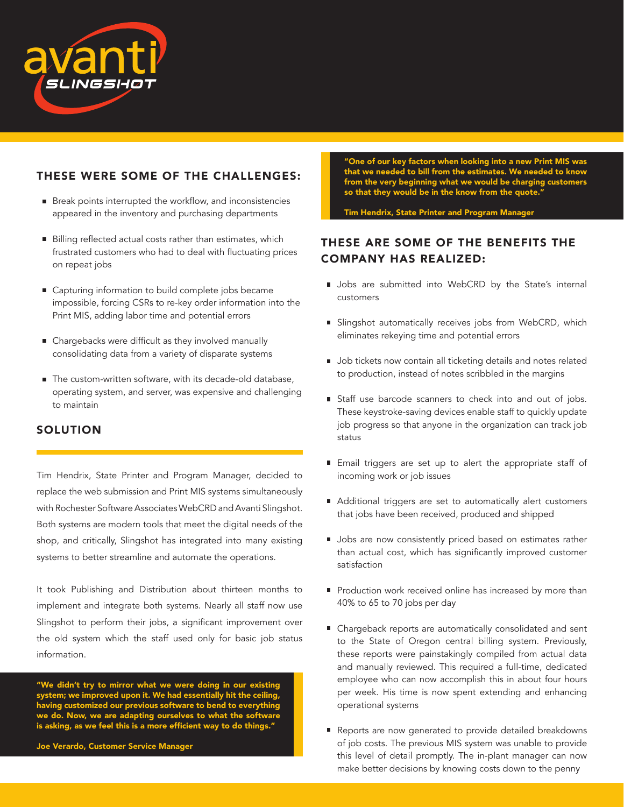

## THESE WERE SOME OF THE CHALLENGES:

- Break points interrupted the workflow, and inconsistencies appeared in the inventory and purchasing departments
- Billing reflected actual costs rather than estimates, which frustrated customers who had to deal with fluctuating prices on repeat jobs
- Capturing information to build complete jobs became impossible, forcing CSRs to re-key order information into the Print MIS, adding labor time and potential errors
- Chargebacks were difficult as they involved manually consolidating data from a variety of disparate systems
- The custom-written software, with its decade-old database, operating system, and server, was expensive and challenging to maintain

## SOLUTION

Tim Hendrix, State Printer and Program Manager, decided to replace the web submission and Print MIS systems simultaneously with Rochester Software Associates WebCRD and Avanti Slingshot. Both systems are modern tools that meet the digital needs of the shop, and critically, Slingshot has integrated into many existing systems to better streamline and automate the operations.

It took Publishing and Distribution about thirteen months to implement and integrate both systems. Nearly all staff now use Slingshot to perform their jobs, a significant improvement over the old system which the staff used only for basic job status information.

"We didn't try to mirror what we were doing in our existing system; we improved upon it. We had essentially hit the ceiling, having customized our previous software to bend to everything we do. Now, we are adapting ourselves to what the software is asking, as we feel this is a more efficient way to do things."

Joe Verardo, Customer Service Manager

"One of our key factors when looking into a new Print MIS was that we needed to bill from the estimates. We needed to know from the very beginning what we would be charging customers so that they would be in the know from the quote."

Tim Hendrix, State Printer and Program Manager

## THESE ARE SOME OF THE BENEFITS THE COMPANY HAS REALIZED:

- **Jobs** are submitted into WebCRD by the State's internal customers
- **Slingshot automatically receives jobs from WebCRD, which** eliminates rekeying time and potential errors
- **Job tickets now contain all ticketing details and notes related** to production, instead of notes scribbled in the margins
- Staff use barcode scanners to check into and out of jobs. These keystroke-saving devices enable staff to quickly update job progress so that anyone in the organization can track job status
- **Email triggers are set up to alert the appropriate staff of** incoming work or job issues
- Additional triggers are set to automatically alert customers that jobs have been received, produced and shipped
- **Jobs are now consistently priced based on estimates rather** than actual cost, which has significantly improved customer satisfaction
- Production work received online has increased by more than 40% to 65 to 70 jobs per day
- Chargeback reports are automatically consolidated and sent to the State of Oregon central billing system. Previously, these reports were painstakingly compiled from actual data and manually reviewed. This required a full-time, dedicated employee who can now accomplish this in about four hours per week. His time is now spent extending and enhancing operational systems
- Reports are now generated to provide detailed breakdowns of job costs. The previous MIS system was unable to provide this level of detail promptly. The in-plant manager can now make better decisions by knowing costs down to the penny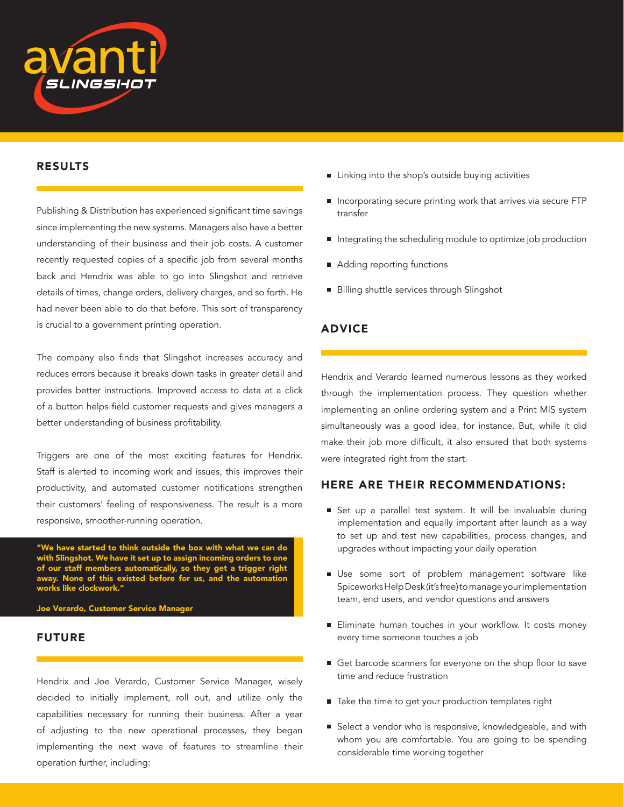

#### RESULTS

Publishing & Distribution has experienced significant time savings since implementing the new systems. Managers also have a better understanding of their business and their job costs. A customer recently requested copies of a specific job from several months back and Hendrix was able to go into Slingshot and retrieve details of times, change orders, delivery charges, and so forth. He had never been able to do that before. This sort of transparency is crucial to a government printing operation.

The company also finds that Slingshot increases accuracy and reduces errors because it breaks down tasks in greater detail and provides better instructions. Improved access to data at a click of a button helps field customer requests and gives managers a better understanding of business profitability.

Triggers are one of the most exciting features for Hendrix. Staff is alerted to incoming work and issues, this improves their productivity, and automated customer notifications strengthen their customers' feeling of responsiveness. The result is a more responsive, smoother-running operation.

"We have started to think outside the box with what we can do with Slingshot. We have it set up to assign incoming orders to one of our staff members automatically, so they get a trigger right away. None of this existed before for us, and the automation works like clockwork."

Joe Verardo, Customer Service Manager

## FUTURE

Hendrix and Joe Verardo, Customer Service Manager, wisely decided to initially implement, roll out, and utilize only the capabilities necessary for running their business. After a year of adjusting to the new operational processes, they began implementing the next wave of features to streamline their operation further, including:

- **I** Linking into the shop's outside buying activities
- Incorporating secure printing work that arrives via secure FTP transfer
- Integrating the scheduling module to optimize job production
- Adding reporting functions
- Billing shuttle services through Slingshot

#### ADVICE

Hendrix and Verardo learned numerous lessons as they worked through the implementation process. They question whether implementing an online ordering system and a Print MIS system simultaneously was a good idea, for instance. But, while it did make their job more difficult, it also ensured that both systems were integrated right from the start.

## HERE ARE THEIR RECOMMENDATIONS:

- Set up a parallel test system. It will be invaluable during implementation and equally important after launch as a way to set up and test new capabilities, process changes, and upgrades without impacting your daily operation
- Use some sort of problem management software like Spiceworks Help Desk (it's free) to manage your implementation team, end users, and vendor questions and answers
- Eliminate human touches in your workflow. It costs money every time someone touches a job
- Get barcode scanners for everyone on the shop floor to save time and reduce frustration
- Take the time to get your production templates right
- Select a vendor who is responsive, knowledgeable, and with whom you are comfortable. You are going to be spending considerable time working together